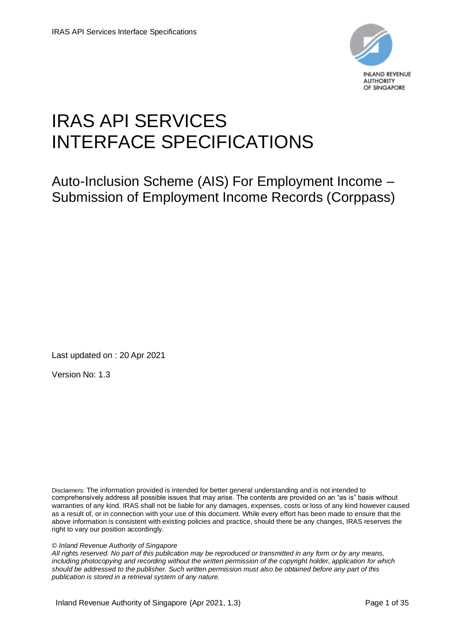

# IRAS API SERVICES INTERFACE SPECIFICATIONS

Auto-Inclusion Scheme (AIS) For Employment Income – Submission of Employment Income Records (Corppass)

Last updated on : 20 Apr 2021

Version No: 1.3

Disclaimers: The information provided is intended for better general understanding and is not intended to comprehensively address all possible issues that may arise. The contents are provided on an "as is" basis without warranties of any kind. IRAS shall not be liable for any damages, expenses, costs or loss of any kind however caused as a result of, or in connection with your use of this document. While every effort has been made to ensure that the above information is consistent with existing policies and practice, should there be any changes, IRAS reserves the right to vary our position accordingly.

#### *© Inland Revenue Authority of Singapore*

*All rights reserved. No part of this publication may be reproduced or transmitted in any form or by any means, including photocopying and recording without the written permission of the copyright holder, application for which should be addressed to the publisher. Such written permission must also be obtained before any part of this publication is stored in a retrieval system of any nature.*

Inland Revenue Authority of Singapore (Apr 2021, 1.3) Page 1 of 35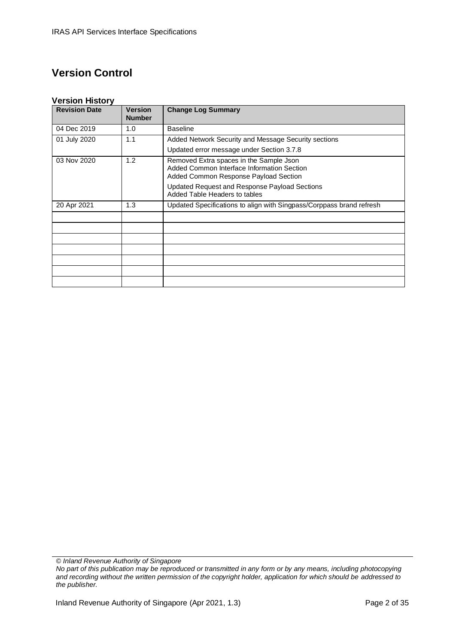### **Version Control**

#### **Version History**

| <b>Revision Date</b> | Version<br><b>Number</b> | <b>Change Log Summary</b>                                                                                                      |
|----------------------|--------------------------|--------------------------------------------------------------------------------------------------------------------------------|
| 04 Dec 2019          | 1.0                      | <b>Baseline</b>                                                                                                                |
| 01 July 2020         | 1.1                      | Added Network Security and Message Security sections                                                                           |
|                      |                          | Updated error message under Section 3.7.8                                                                                      |
| 03 Nov 2020          | 1.2                      | Removed Extra spaces in the Sample Json<br>Added Common Interface Information Section<br>Added Common Response Payload Section |
|                      |                          | Updated Request and Response Payload Sections<br>Added Table Headers to tables                                                 |
| 20 Apr 2021          | 1.3                      | Updated Specifications to align with Singpass/Corppass brand refresh                                                           |
|                      |                          |                                                                                                                                |
|                      |                          |                                                                                                                                |
|                      |                          |                                                                                                                                |
|                      |                          |                                                                                                                                |
|                      |                          |                                                                                                                                |
|                      |                          |                                                                                                                                |
|                      |                          |                                                                                                                                |

*© Inland Revenue Authority of Singapore*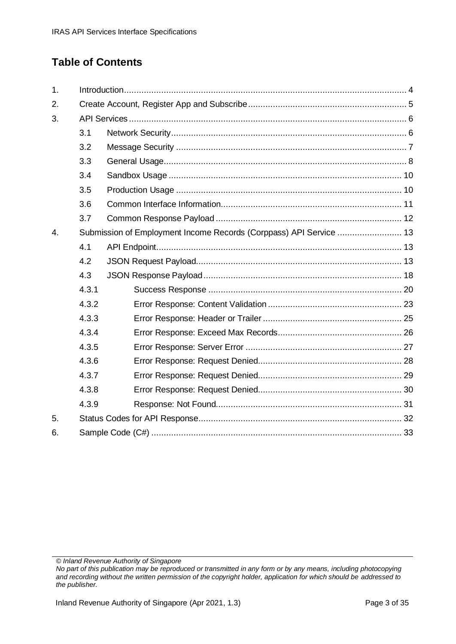# **Table of Contents**

| 1.               |       |                                                                    |  |
|------------------|-------|--------------------------------------------------------------------|--|
| 2.               |       |                                                                    |  |
| 3.               |       |                                                                    |  |
|                  | 3.1   |                                                                    |  |
|                  | 3.2   |                                                                    |  |
|                  | 3.3   |                                                                    |  |
|                  | 3.4   |                                                                    |  |
|                  | 3.5   |                                                                    |  |
|                  | 3.6   |                                                                    |  |
|                  | 3.7   |                                                                    |  |
| $\overline{4}$ . |       | Submission of Employment Income Records (Corppass) API Service  13 |  |
|                  | 4.1   |                                                                    |  |
|                  | 4.2   |                                                                    |  |
|                  | 4.3   |                                                                    |  |
|                  | 4.3.1 |                                                                    |  |
|                  | 4.3.2 |                                                                    |  |
|                  | 4.3.3 |                                                                    |  |
|                  | 4.3.4 |                                                                    |  |
|                  | 4.3.5 |                                                                    |  |
|                  | 4.3.6 |                                                                    |  |
|                  | 4.3.7 |                                                                    |  |
|                  | 4.3.8 |                                                                    |  |
|                  | 4.3.9 |                                                                    |  |
| 5.               |       |                                                                    |  |
| 6.               |       |                                                                    |  |

*© Inland Revenue Authority of Singapore*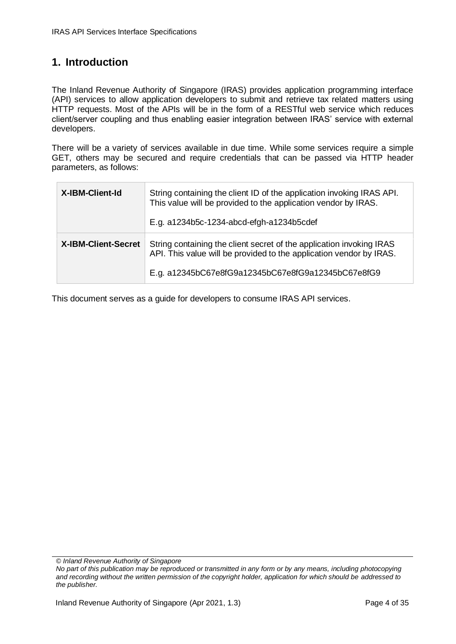#### <span id="page-3-0"></span>**1. Introduction**

The Inland Revenue Authority of Singapore (IRAS) provides application programming interface (API) services to allow application developers to submit and retrieve tax related matters using HTTP requests. Most of the APIs will be in the form of a RESTful web service which reduces client/server coupling and thus enabling easier integration between IRAS' service with external developers.

There will be a variety of services available in due time. While some services require a simple GET, others may be secured and require credentials that can be passed via HTTP header parameters, as follows:

| X-IBM-Client-Id            | String containing the client ID of the application invoking IRAS API.<br>This value will be provided to the application vendor by IRAS.<br>E.g. a1234b5c-1234-abcd-efgh-a1234b5cdef               |
|----------------------------|---------------------------------------------------------------------------------------------------------------------------------------------------------------------------------------------------|
| <b>X-IBM-Client-Secret</b> | String containing the client secret of the application invoking IRAS<br>API. This value will be provided to the application vendor by IRAS.<br>E.g. a12345bC67e8fG9a12345bC67e8fG9a12345bC67e8fG9 |

This document serves as a guide for developers to consume IRAS API services.

*© Inland Revenue Authority of Singapore*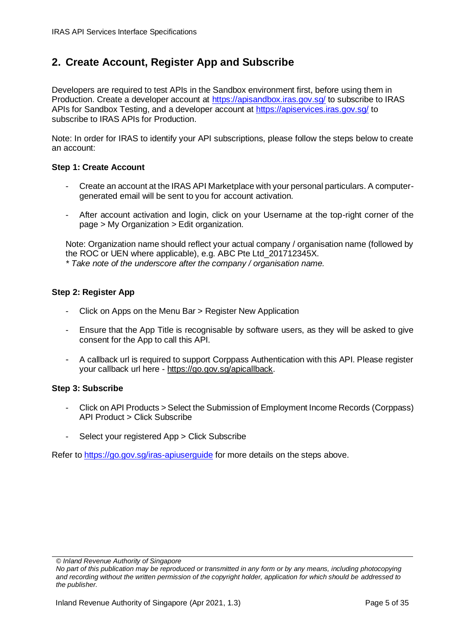#### <span id="page-4-0"></span>**2. Create Account, Register App and Subscribe**

Developers are required to test APIs in the Sandbox environment first, before using them in Production. Create a developer account at<https://apisandbox.iras.gov.sg/> to subscribe to IRAS APIs for Sandbox Testing, and a developer account at<https://apiservices.iras.gov.sg/> to subscribe to IRAS APIs for Production.

Note: In order for IRAS to identify your API subscriptions, please follow the steps below to create an account:

#### **Step 1: Create Account**

- Create an account at the IRAS API Marketplace with your personal particulars. A computergenerated email will be sent to you for account activation.
- After account activation and login, click on your Username at the top-right corner of the page > My Organization > Edit organization.

Note: Organization name should reflect your actual company / organisation name (followed by the ROC or UEN where applicable), e.g. ABC Pte Ltd\_201712345X.

*\* Take note of the underscore after the company / organisation name.*

#### **Step 2: Register App**

- Click on Apps on the Menu Bar > Register New Application
- Ensure that the App Title is recognisable by software users, as they will be asked to give consent for the App to call this API.
- A callback url is required to support Corppass Authentication with this API. Please register your callback url here - [https://go.gov.sg/apicallback.](https://go.gov.sg/apicallback)

#### **Step 3: Subscribe**

- Click on API Products > Select the Submission of Employment Income Records (Corppass) API Product > Click Subscribe
- Select your registered App > Click Subscribe

Refer to<https://go.gov.sg/iras-apiuserguide> for more details on the steps above.

*<sup>©</sup> Inland Revenue Authority of Singapore* 

*No part of this publication may be reproduced or transmitted in any form or by any means, including photocopying and recording without the written permission of the copyright holder, application for which should be addressed to the publisher.*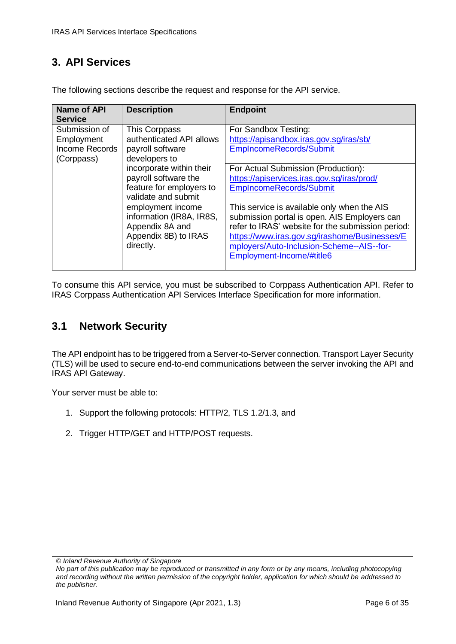### <span id="page-5-0"></span>**3. API Services**

| <b>Name of API</b><br><b>Service</b>                        | <b>Description</b>                                                                                                                                                                                                                                                                             | <b>Endpoint</b>                                                                                                                                                                                                                                                                                                                                                                                                                                                                           |
|-------------------------------------------------------------|------------------------------------------------------------------------------------------------------------------------------------------------------------------------------------------------------------------------------------------------------------------------------------------------|-------------------------------------------------------------------------------------------------------------------------------------------------------------------------------------------------------------------------------------------------------------------------------------------------------------------------------------------------------------------------------------------------------------------------------------------------------------------------------------------|
| Submission of<br>Employment<br>Income Records<br>(Corppass) | This Corppass<br>authenticated API allows<br>payroll software<br>developers to<br>incorporate within their<br>payroll software the<br>feature for employers to<br>validate and submit<br>employment income<br>information (IR8A, IR8S,<br>Appendix 8A and<br>Appendix 8B) to IRAS<br>directly. | For Sandbox Testing:<br>https://apisandbox.iras.gov.sg/iras/sb/<br>EmpIncomeRecords/Submit<br>For Actual Submission (Production):<br>https://apiservices.iras.gov.sg/iras/prod/<br>EmpIncomeRecords/Submit<br>This service is available only when the AIS<br>submission portal is open. AIS Employers can<br>refer to IRAS' website for the submission period:<br>https://www.iras.gov.sg/irashome/Businesses/E<br>mployers/Auto-Inclusion-Scheme--AIS--for-<br>Employment-Income/#title6 |
|                                                             |                                                                                                                                                                                                                                                                                                |                                                                                                                                                                                                                                                                                                                                                                                                                                                                                           |

The following sections describe the request and response for the API service.

To consume this API service, you must be subscribed to Corppass Authentication API. Refer to IRAS Corppass Authentication API Services Interface Specification for more information.

#### <span id="page-5-1"></span>**3.1 Network Security**

The API endpoint has to be triggered from a Server-to-Server connection. Transport Layer Security (TLS) will be used to secure end-to-end communications between the server invoking the API and IRAS API Gateway.

Your server must be able to:

- 1. Support the following protocols: HTTP/2, TLS 1.2/1.3, and
- 2. Trigger HTTP/GET and HTTP/POST requests.

*<sup>©</sup> Inland Revenue Authority of Singapore* 

*No part of this publication may be reproduced or transmitted in any form or by any means, including photocopying and recording without the written permission of the copyright holder, application for which should be addressed to the publisher.*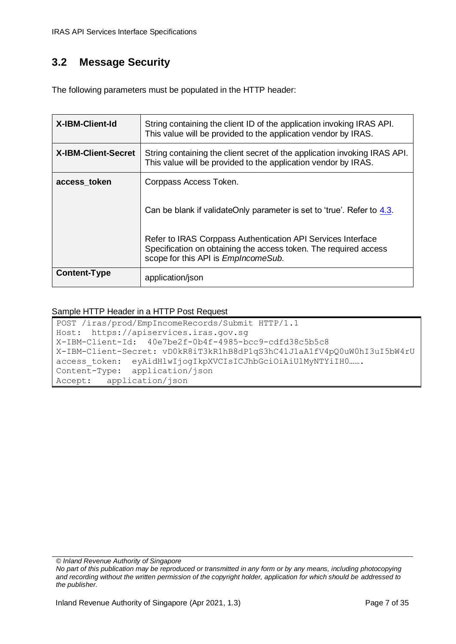# <span id="page-6-0"></span>**3.2 Message Security**

The following parameters must be populated in the HTTP header:

| <b>X-IBM-Client-Id</b>     | String containing the client ID of the application invoking IRAS API.<br>This value will be provided to the application vendor by IRAS.                                         |
|----------------------------|---------------------------------------------------------------------------------------------------------------------------------------------------------------------------------|
| <b>X-IBM-Client-Secret</b> | String containing the client secret of the application invoking IRAS API.<br>This value will be provided to the application vendor by IRAS.                                     |
| access token               | Corppass Access Token.                                                                                                                                                          |
|                            | Can be blank if validateOnly parameter is set to 'true'. Refer to 4.3.                                                                                                          |
|                            | Refer to IRAS Corppass Authentication API Services Interface<br>Specification on obtaining the access token. The required access<br>scope for this API is <i>EmpIncomeSub</i> . |
| <b>Content-Type</b>        | application/json                                                                                                                                                                |

#### Sample HTTP Header in a HTTP Post Request

POST /iras/prod/EmpIncomeRecords/Submit HTTP/1.1 Host: https://apiservices.iras.gov.sg X-IBM-Client-Id: 40e7be2f-0b4f-4985-bcc9-cdfd38c5b5c8 X-IBM-Client-Secret: vD0kR8iT3kR1hB8dP1qS3hC4lJ1aA1fV4pQ0uW0hI3uI5bW4rU access token: eyAidHlwIjogIkpXVCIsICJhbGciOiAiUlMyNTYiIH0……. Content-Type: application/json Accept: application/json

*© Inland Revenue Authority of Singapore*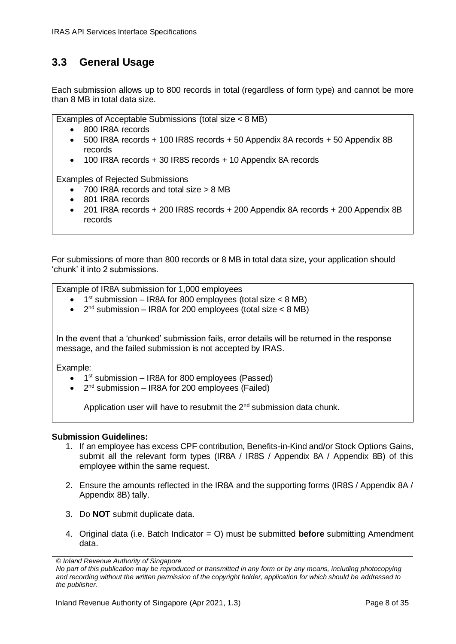#### <span id="page-7-0"></span>**3.3 General Usage**

Each submission allows up to 800 records in total (regardless of form type) and cannot be more than 8 MB in total data size.

Examples of Acceptable Submissions (total size < 8 MB)

- 800 IR8A records
- 500 IR8A records + 100 IR8S records + 50 Appendix 8A records + 50 Appendix 8B records
- 100 IR8A records + 30 IR8S records + 10 Appendix 8A records

Examples of Rejected Submissions

- 700 IR8A records and total size > 8 MB
- 801 IR8A records
- 201 IR8A records + 200 IR8S records + 200 Appendix 8A records + 200 Appendix 8B records

For submissions of more than 800 records or 8 MB in total data size, your application should 'chunk' it into 2 submissions.

Example of IR8A submission for 1,000 employees

- $\bullet$  1<sup>st</sup> submission IR8A for 800 employees (total size < 8 MB)
- $\bullet$  2<sup>nd</sup> submission IR8A for 200 employees (total size < 8 MB)

In the event that a 'chunked' submission fails, error details will be returned in the response message, and the failed submission is not accepted by IRAS.

Example:

- $\bullet$  1<sup>st</sup> submission IR8A for 800 employees (Passed)
- $\bullet$  2<sup>nd</sup> submission IR8A for 200 employees (Failed)

Application user will have to resubmit the  $2^{nd}$  submission data chunk.

#### **Submission Guidelines:**

- 1. If an employee has excess CPF contribution, Benefits-in-Kind and/or Stock Options Gains, submit all the relevant form types (IR8A / IR8S / Appendix 8A / Appendix 8B) of this employee within the same request.
- 2. Ensure the amounts reflected in the IR8A and the supporting forms (IR8S / Appendix 8A / Appendix 8B) tally.
- 3. Do **NOT** submit duplicate data.
- 4. Original data (i.e. Batch Indicator = O) must be submitted **before** submitting Amendment data.

*<sup>©</sup> Inland Revenue Authority of Singapore* 

*No part of this publication may be reproduced or transmitted in any form or by any means, including photocopying and recording without the written permission of the copyright holder, application for which should be addressed to the publisher.*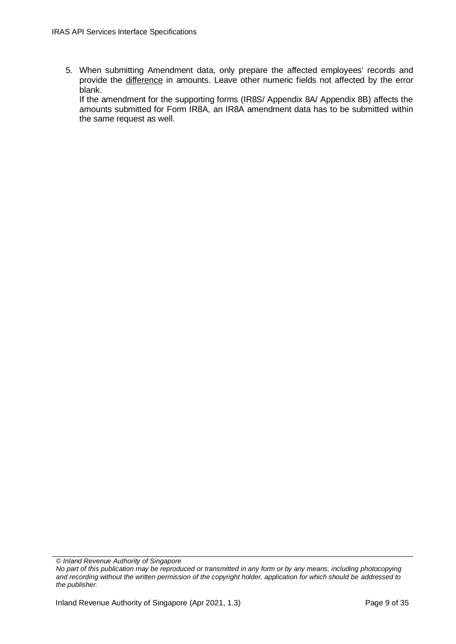5. When submitting Amendment data, only prepare the affected employees' records and provide the difference in amounts. Leave other numeric fields not affected by the error blank.

If the amendment for the supporting forms (IR8S/ Appendix 8A/ Appendix 8B) affects the amounts submitted for Form IR8A, an IR8A amendment data has to be submitted within the same request as well.

*<sup>©</sup> Inland Revenue Authority of Singapore* 

*No part of this publication may be reproduced or transmitted in any form or by any means, including photocopying and recording without the written permission of the copyright holder, application for which should be addressed to the publisher.*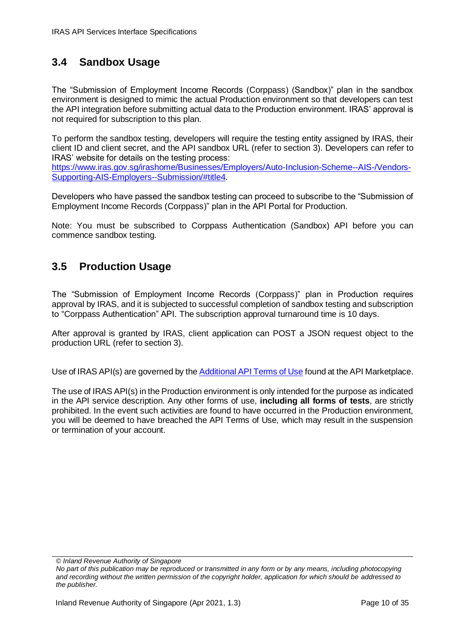### <span id="page-9-0"></span>**3.4 Sandbox Usage**

The "Submission of Employment Income Records (Corppass) (Sandbox)" plan in the sandbox environment is designed to mimic the actual Production environment so that developers can test the API integration before submitting actual data to the Production environment. IRAS' approval is not required for subscription to this plan.

To perform the sandbox testing, developers will require the testing entity assigned by IRAS, their client ID and client secret, and the API sandbox URL (refer to section 3). Developers can refer to IRAS' website for details on the testing process:

[https://www.iras.gov.sg/irashome/Businesses/Employers/Auto-Inclusion-Scheme--AIS-/Vendors-](https://www.iras.gov.sg/irashome/Businesses/Employers/Auto-Inclusion-Scheme--AIS-/Vendors-Supporting-AIS-Employers--Submission/#title4)[Supporting-AIS-Employers--Submission/#title4.](https://www.iras.gov.sg/irashome/Businesses/Employers/Auto-Inclusion-Scheme--AIS-/Vendors-Supporting-AIS-Employers--Submission/#title4)

Developers who have passed the sandbox testing can proceed to subscribe to the "Submission of Employment Income Records (Corppass)" plan in the API Portal for Production.

Note: You must be subscribed to Corppass Authentication (Sandbox) API before you can commence sandbox testing.

#### <span id="page-9-1"></span>**3.5 Production Usage**

The "Submission of Employment Income Records (Corppass)" plan in Production requires approval by IRAS, and it is subjected to successful completion of sandbox testing and subscription to "Corppass Authentication" API. The subscription approval turnaround time is 10 days.

After approval is granted by IRAS, client application can POST a JSON request object to the production URL (refer to section 3).

Use of IRAS API(s) are governed by the **Additional API Terms of Use** found at the API Marketplace.

The use of IRAS API(s) in the Production environment is only intended for the purpose as indicated in the API service description. Any other forms of use, **including all forms of tests**, are strictly prohibited. In the event such activities are found to have occurred in the Production environment, you will be deemed to have breached the API Terms of Use, which may result in the suspension or termination of your account.

*© Inland Revenue Authority of Singapore*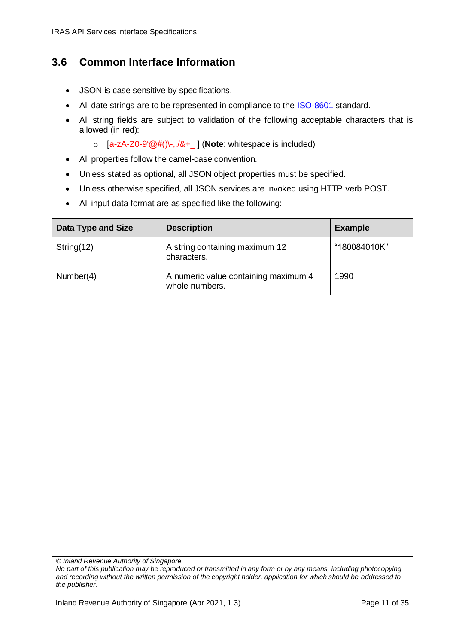#### <span id="page-10-0"></span>**3.6 Common Interface Information**

- JSON is case sensitive by specifications.
- All date strings are to be represented in compliance to the [ISO-8601](https://www.w3.org/TR/NOTE-datetime) standard.
- All string fields are subject to validation of the following acceptable characters that is allowed (in red):
	- o [a-zA-Z0-9'@#()\-,./&+\_ ] (**Note**: whitespace is included)
- All properties follow the camel-case convention.
- Unless stated as optional, all JSON object properties must be specified.
- Unless otherwise specified, all JSON services are invoked using HTTP verb POST.
- All input data format are as specified like the following:

| Data Type and Size | <b>Description</b>                                     | <b>Example</b> |
|--------------------|--------------------------------------------------------|----------------|
| String $(12)$      | A string containing maximum 12<br>characters.          | "180084010K"   |
| Number(4)          | A numeric value containing maximum 4<br>whole numbers. | 1990           |

*© Inland Revenue Authority of Singapore*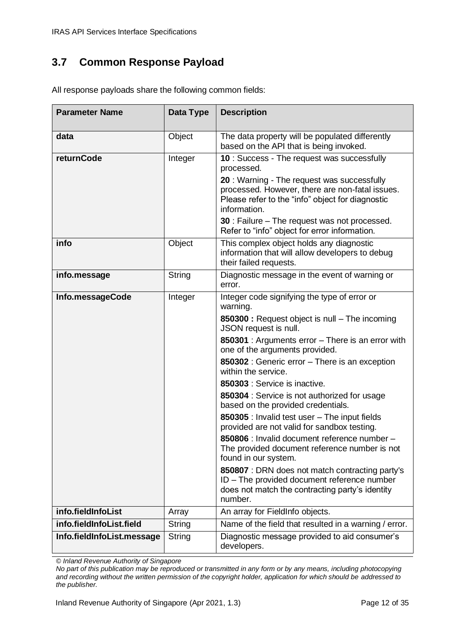### <span id="page-11-0"></span>**3.7 Common Response Payload**

| <b>Parameter Name</b>                          | Data Type        | <b>Description</b>                                                                                                                                                                                                                                                                                                                                                                                                                                                                                                                                                                                                                                                                                                                                                                                                  |
|------------------------------------------------|------------------|---------------------------------------------------------------------------------------------------------------------------------------------------------------------------------------------------------------------------------------------------------------------------------------------------------------------------------------------------------------------------------------------------------------------------------------------------------------------------------------------------------------------------------------------------------------------------------------------------------------------------------------------------------------------------------------------------------------------------------------------------------------------------------------------------------------------|
| data                                           | Object           | The data property will be populated differently<br>based on the API that is being invoked.                                                                                                                                                                                                                                                                                                                                                                                                                                                                                                                                                                                                                                                                                                                          |
| returnCode                                     | Integer          | 10 : Success - The request was successfully<br>processed.<br>20 : Warning - The request was successfully<br>processed. However, there are non-fatal issues.<br>Please refer to the "info" object for diagnostic<br>information.<br><b>30</b> : Failure – The request was not processed.<br>Refer to "info" object for error information.                                                                                                                                                                                                                                                                                                                                                                                                                                                                            |
| info                                           | Object           | This complex object holds any diagnostic<br>information that will allow developers to debug<br>their failed requests.                                                                                                                                                                                                                                                                                                                                                                                                                                                                                                                                                                                                                                                                                               |
| info.message                                   | String           | Diagnostic message in the event of warning or<br>error.                                                                                                                                                                                                                                                                                                                                                                                                                                                                                                                                                                                                                                                                                                                                                             |
| Info.messageCode                               | Integer          | Integer code signifying the type of error or<br>warning.<br>850300 : Request object is null - The incoming<br>JSON request is null.<br>850301 : Arguments error - There is an error with<br>one of the arguments provided.<br>850302 : Generic error - There is an exception<br>within the service.<br>850303 : Service is inactive.<br>850304 : Service is not authorized for usage<br>based on the provided credentials.<br>850305 : Invalid test user - The input fields<br>provided are not valid for sandbox testing.<br>850806 : Invalid document reference number -<br>The provided document reference number is not<br>found in our system.<br>850807 : DRN does not match contracting party's<br>ID - The provided document reference number<br>does not match the contracting party's identity<br>number. |
| info.fieldInfoList<br>info.fieldInfoList.field | Array            | An array for FieldInfo objects.<br>Name of the field that resulted in a warning / error.                                                                                                                                                                                                                                                                                                                                                                                                                                                                                                                                                                                                                                                                                                                            |
| Info.fieldInfoList.message                     | String<br>String | Diagnostic message provided to aid consumer's                                                                                                                                                                                                                                                                                                                                                                                                                                                                                                                                                                                                                                                                                                                                                                       |
|                                                |                  | developers.                                                                                                                                                                                                                                                                                                                                                                                                                                                                                                                                                                                                                                                                                                                                                                                                         |

All response payloads share the following common fields:

*© Inland Revenue Authority of Singapore*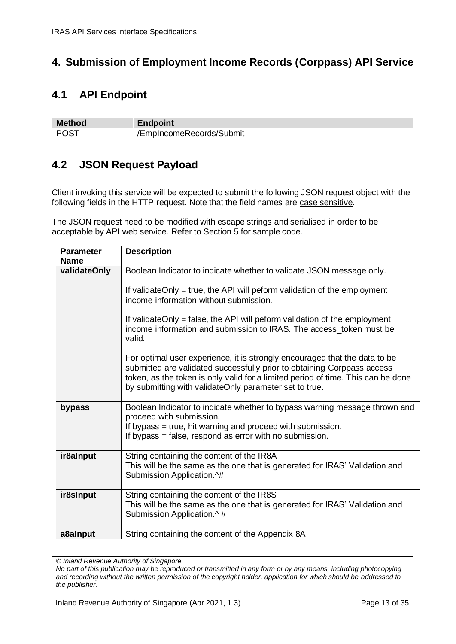#### <span id="page-12-0"></span>**4. Submission of Employment Income Records (Corppass) API Service**

#### <span id="page-12-1"></span>**4.1 API Endpoint**

| M      |                          |
|--------|--------------------------|
| thod   | ∟napomt                  |
| ∴ DOC″ | /EmpIncomeRecords/Submit |

#### <span id="page-12-2"></span>**4.2 JSON Request Payload**

Client invoking this service will be expected to submit the following JSON request object with the following fields in the HTTP request. Note that the field names are case sensitive.

The JSON request need to be modified with escape strings and serialised in order to be acceptable by API web service. Refer to Section 5 for sample code.

| <b>Parameter</b><br><b>Name</b> | <b>Description</b>                                                                                                                                                                                                                                                                                  |
|---------------------------------|-----------------------------------------------------------------------------------------------------------------------------------------------------------------------------------------------------------------------------------------------------------------------------------------------------|
| validateOnly                    | Boolean Indicator to indicate whether to validate JSON message only.                                                                                                                                                                                                                                |
|                                 | If validateOnly = true, the API will peform validation of the employment<br>income information without submission.                                                                                                                                                                                  |
|                                 | If validateOnly = false, the API will peform validation of the employment<br>income information and submission to IRAS. The access token must be<br>valid.                                                                                                                                          |
|                                 | For optimal user experience, it is strongly encouraged that the data to be<br>submitted are validated successfully prior to obtaining Corppass access<br>token, as the token is only valid for a limited period of time. This can be done<br>by submitting with validateOnly parameter set to true. |
| bypass                          | Boolean Indicator to indicate whether to bypass warning message thrown and<br>proceed with submission.<br>If bypass = true, hit warning and proceed with submission.<br>If bypass = false, respond as error with no submission.                                                                     |
| ir8alnput                       | String containing the content of the IR8A<br>This will be the same as the one that is generated for IRAS' Validation and<br>Submission Application.^#                                                                                                                                               |
| ir8sInput                       | String containing the content of the IR8S<br>This will be the same as the one that is generated for IRAS' Validation and<br>Submission Application.^#                                                                                                                                               |
| a8aInput                        | String containing the content of the Appendix 8A                                                                                                                                                                                                                                                    |

*© Inland Revenue Authority of Singapore*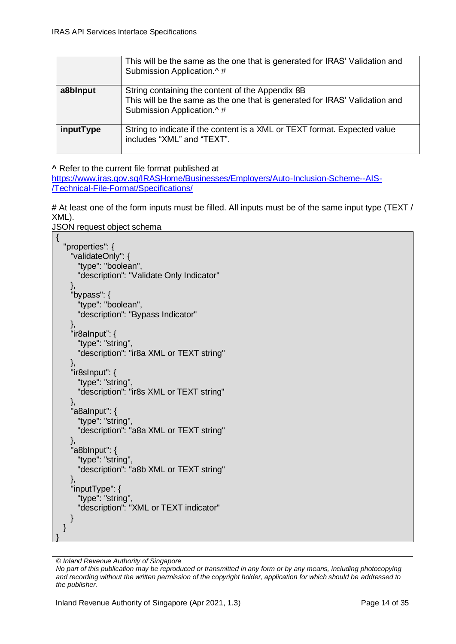|           | This will be the same as the one that is generated for IRAS' Validation and<br>Submission Application.^#                                                     |
|-----------|--------------------------------------------------------------------------------------------------------------------------------------------------------------|
| a8blnput  | String containing the content of the Appendix 8B<br>This will be the same as the one that is generated for IRAS' Validation and<br>Submission Application.^# |
| inputType | String to indicate if the content is a XML or TEXT format. Expected value<br>includes "XML" and "TEXT".                                                      |

**^** Refer to the current file format published at

[https://www.iras.gov.sg/IRASHome/Businesses/Employers/Auto-Inclusion-Scheme--AIS-](https://www.iras.gov.sg/IRASHome/Businesses/Employers/Auto-Inclusion-Scheme--AIS-/Technical-File-Format/Specifications/) [/Technical-File-Format/Specifications/](https://www.iras.gov.sg/IRASHome/Businesses/Employers/Auto-Inclusion-Scheme--AIS-/Technical-File-Format/Specifications/)

# At least one of the form inputs must be filled. All inputs must be of the same input type (TEXT) XML).

JSON request object schema

{

}

```
 "properties": {
     "validateOnly": {
       "type": "boolean",
       "description": "Validate Only Indicator"
 },
     "bypass": {
       "type": "boolean",
       "description": "Bypass Indicator"
     },
     "ir8aInput": {
       "type": "string",
       "description": "ir8a XML or TEXT string"
     },
     "ir8sInput": {
       "type": "string",
       "description": "ir8s XML or TEXT string"
     },
     "a8aInput": {
       "type": "string",
       "description": "a8a XML or TEXT string"
     },
     "a8bInput": {
       "type": "string",
       "description": "a8b XML or TEXT string"
     },
     "inputType": {
       "type": "string",
       "description": "XML or TEXT indicator"
     }
  }
```
*© Inland Revenue Authority of Singapore*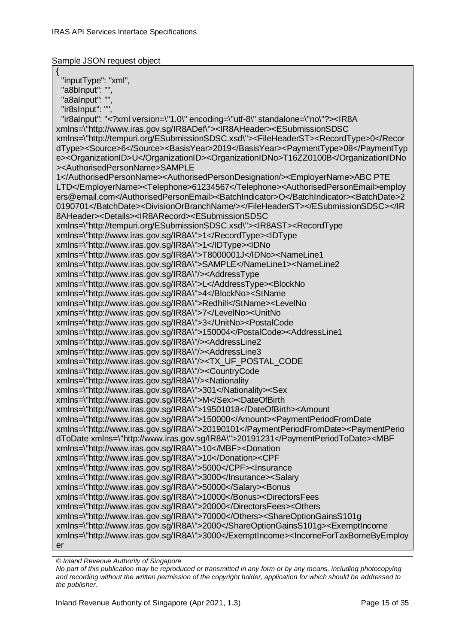Sample JSON request object

{ "inputType": "xml", "a8bInput": " "a8aInput": "", "ir8sInput": "", "ir8aInput": "<?xml version=\"1.0\" encoding=\"utf-8\" standalone=\"no\"?><IR8A xmlns=\"http://www.iras.gov.sg/IR8ADef\"><IR8AHeader><ESubmissionSDSC xmlns=\"http://tempuri.org/ESubmissionSDSC.xsd\"><FileHeaderST><RecordType>0</Recor dType><Source>6</Source><BasisYear>2019</BasisYear><PaymentType>08</PaymentTyp e><OrganizationID>U</OrganizationID><OrganizationIDNo>T16ZZ0100B</OrganizationIDNo ><AuthorisedPersonName>SAMPLE 1</AuthorisedPersonName><AuthorisedPersonDesignation/><EmployerName>ABC PTE LTD</EmployerName><Telephone>61234567</Telephone><AuthorisedPersonEmail>employ ers@email.com</AuthorisedPersonEmail><BatchIndicator>O</BatchIndicator><BatchDate>2 0190701</BatchDate><DivisionOrBranchName/></FileHeaderST></ESubmissionSDSC></IR 8AHeader><Details><IR8ARecord><ESubmissionSDSC xmlns=\"http://tempuri.org/ESubmissionSDSC.xsd\"><IR8AST><RecordType xmlns=\"http://www.iras.gov.sg/IR8A\">1</RecordType><IDType xmlns=\"http://www.iras.gov.sg/IR8A\">1</IDType><IDNo xmlns=\"http://www.iras.gov.sg/IR8A\">T8000001J</IDNo><NameLine1 xmlns=\"http://www.iras.gov.sg/IR8A\">SAMPLE</NameLine1><NameLine2 xmlns=\"http://www.iras.gov.sg/IR8A\"/><AddressType xmlns=\"http://www.iras.gov.sg/IR8A\">L</AddressType><BlockNo xmlns=\"http://www.iras.gov.sg/IR8A\">4</BlockNo><StName xmlns=\"http://www.iras.gov.sg/IR8A\">Redhill</StName><LevelNo xmlns=\"http://www.iras.gov.sg/IR8A\">7</LevelNo><UnitNo xmlns=\"http://www.iras.gov.sg/IR8A\">3</UnitNo><PostalCode xmlns=\"http://www.iras.gov.sg/IR8A\">150004</PostalCode><AddressLine1 xmlns=\"http://www.iras.gov.sg/IR8A\"/><AddressLine2 xmlns=\"http://www.iras.gov.sg/IR8A\"/><AddressLine3 xmlns=\"http://www.iras.gov.sg/IR8A\"/><TX\_UF\_POSTAL\_CODE xmlns=\"http://www.iras.gov.sg/IR8A\"/><CountryCode xmlns=\"http://www.iras.gov.sg/IR8A\"/><Nationality xmlns=\"http://www.iras.gov.sg/IR8A\">301</Nationality><Sex xmlns=\"http://www.iras.gov.sg/IR8A\">M</Sex><DateOfBirth xmlns=\"http://www.iras.gov.sg/IR8A\">19501018</DateOfBirth><Amount xmlns=\"http://www.iras.gov.sg/IR8A\">150000</Amount><PaymentPeriodFromDate xmlns=\"http://www.iras.gov.sg/IR8A\">20190101</PaymentPeriodFromDate><PaymentPerio dToDate xmlns=\"http://www.iras.gov.sg/IR8A\">20191231</PaymentPeriodToDate><MBF xmlns=\"http://www.iras.gov.sg/IR8A\">10</MBF><Donation xmlns=\"http://www.iras.gov.sg/IR8A\">10</Donation><CPF xmlns=\"http://www.iras.gov.sg/IR8A\">5000</CPF><Insurance xmlns=\"http://www.iras.gov.sg/IR8A\">3000</Insurance><Salary xmlns=\"http://www.iras.gov.sg/IR8A\">50000</Salary><Bonus xmlns=\"http://www.iras.gov.sg/IR8A\">10000</Bonus><DirectorsFees xmlns=\"http://www.iras.gov.sg/IR8A\">20000</DirectorsFees><Others xmlns=\"http://www.iras.gov.sg/IR8A\">70000</Others><ShareOptionGainsS101g xmlns=\"http://www.iras.gov.sg/IR8A\">2000</ShareOptionGainsS101g><ExemptIncome xmlns=\"http://www.iras.gov.sg/IR8A\">3000</ExemptIncome><IncomeForTaxBorneByEmploy er

*© Inland Revenue Authority of Singapore*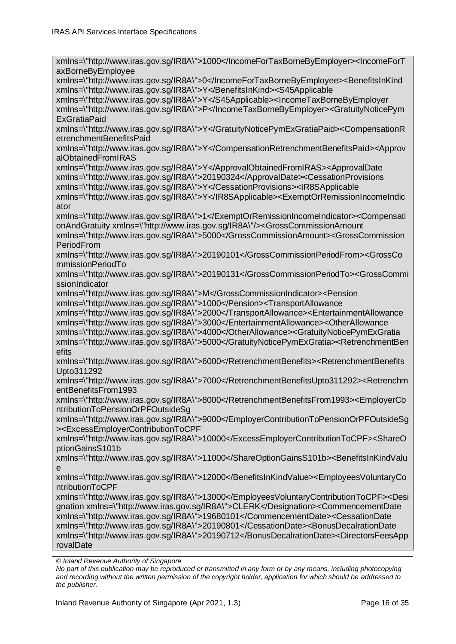*© Inland Revenue Authority of Singapore*  xmlns=\"http://www.iras.gov.sg/IR8A\">1000</IncomeForTaxBorneByEmployer><IncomeForT axBorneByEmployee xmlns=\"http://www.iras.gov.sg/IR8A\">0</IncomeForTaxBorneByEmployee><BenefitsInKind xmlns=\"http://www.iras.gov.sg/IR8A\">Y</BenefitsInKind><S45Applicable xmlns=\"http://www.iras.gov.sg/IR8A\">Y</S45Applicable><IncomeTaxBorneByEmployer xmlns=\"http://www.iras.gov.sg/IR8A\">P</IncomeTaxBorneByEmployer><GratuityNoticePym **ExGratiaPaid** xmlns=\"http://www.iras.gov.sg/IR8A\">Y</GratuityNoticePymExGratiaPaid><CompensationR etrenchmentBenefitsPaid xmlns=\"http://www.iras.gov.sg/IR8A\">Y</CompensationRetrenchmentBenefitsPaid><Approv alObtainedFromIRAS xmlns=\"http://www.iras.gov.sg/IR8A\">Y</ApprovalObtainedFromIRAS><ApprovalDate xmlns=\"http://www.iras.gov.sg/IR8A\">20190324</ApprovalDate><CessationProvisions xmlns=\"http://www.iras.gov.sg/IR8A\">Y</CessationProvisions><IR8SApplicable xmlns=\"http://www.iras.gov.sg/IR8A\">Y</IR8SApplicable><ExemptOrRemissionIncomeIndic ator xmlns=\"http://www.iras.gov.sg/IR8A\">1</ExemptOrRemissionIncomeIndicator><Compensati onAndGratuity xmlns=\"http://www.iras.gov.sg/IR8A\"/><GrossCommissionAmount xmlns=\"http://www.iras.gov.sg/IR8A\">5000</GrossCommissionAmount><GrossCommission PeriodFrom xmlns=\"http://www.iras.gov.sg/IR8A\">20190101</GrossCommissionPeriodFrom><GrossCo mmissionPeriodTo xmlns=\"http://www.iras.gov.sg/IR8A\">20190131</GrossCommissionPeriodTo><GrossCommi ssionIndicator xmlns=\"http://www.iras.gov.sg/IR8A\">M</GrossCommissionIndicator><Pension xmlns=\"http://www.iras.gov.sg/IR8A\">1000</Pension><TransportAllowance xmlns=\"http://www.iras.gov.sg/IR8A\">2000</TransportAllowance><EntertainmentAllowance xmlns=\"http://www.iras.gov.sg/IR8A\">3000</EntertainmentAllowance><OtherAllowance xmlns=\"http://www.iras.gov.sg/IR8A\">4000</OtherAllowance><GratuityNoticePymExGratia xmlns=\"http://www.iras.gov.sg/IR8A\">5000</GratuityNoticePymExGratia><RetrenchmentBen efits xmlns=\"http://www.iras.gov.sg/IR8A\">6000</RetrenchmentBenefits><RetrenchmentBenefits Upto311292 xmlns=\"http://www.iras.gov.sg/IR8A\">7000</RetrenchmentBenefitsUpto311292><Retrenchm entBenefitsFrom1993 xmlns=\"http://www.iras.gov.sg/IR8A\">8000</RetrenchmentBenefitsFrom1993><EmployerCo ntributionToPensionOrPFOutsideSg xmlns=\"http://www.iras.gov.sg/IR8A\">9000</EmployerContributionToPensionOrPFOutsideSg ><ExcessEmployerContributionToCPF xmlns=\"http://www.iras.gov.sg/IR8A\">10000</ExcessEmployerContributionToCPF><ShareO ptionGainsS101b xmlns=\"http://www.iras.gov.sg/IR8A\">11000</ShareOptionGainsS101b><BenefitsInKindValu e xmlns=\"http://www.iras.gov.sg/IR8A\">12000</BenefitsInKindValue><EmployeesVoluntaryCo ntributionToCPF xmlns=\"http://www.iras.gov.sg/IR8A\">13000</EmployeesVoluntaryContributionToCPF><Desi gnation xmlns=\"http://www.iras.gov.sg/IR8A\">CLERK</Designation><CommencementDate xmlns=\"http://www.iras.gov.sg/IR8A\">19680101</CommencementDate><CessationDate xmlns=\"http://www.iras.gov.sg/IR8A\">20190801</CessationDate><BonusDecalrationDate xmlns=\"http://www.iras.gov.sg/IR8A\">20190712</BonusDecalrationDate><DirectorsFeesApp rovalDate

*No part of this publication may be reproduced or transmitted in any form or by any means, including photocopying and recording without the written permission of the copyright holder, application for which should be addressed to the publisher.*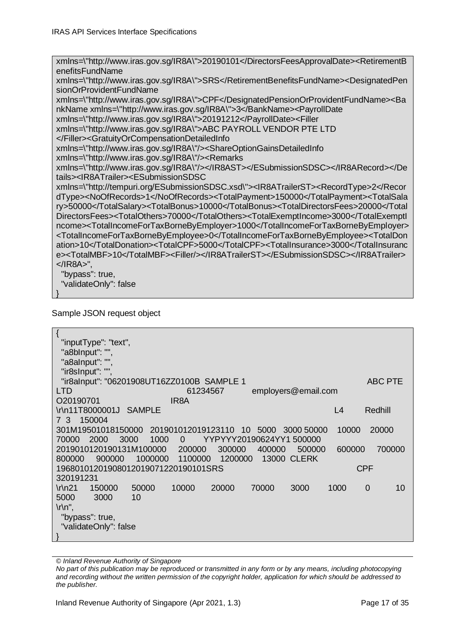xmlns=\"http://www.iras.gov.sg/IR8A\">20190101</DirectorsFeesApprovalDate><RetirementB enefitsFundName xmlns=\"http://www.iras.gov.sg/IR8A\">SRS</RetirementBenefitsFundName><DesignatedPen sionOrProvidentFundName xmlns=\"http://www.iras.gov.sg/IR8A\">CPF</DesignatedPensionOrProvidentFundName><Ba nkName xmlns=\"http://www.iras.gov.sg/IR8A\">3</BankName><PayrollDate xmlns=\"http://www.iras.gov.sg/IR8A\">20191212</PayrollDate><Filler xmlns=\"http://www.iras.gov.sg/IR8A\">ABC PAYROLL VENDOR PTE LTD </Filler><GratuityOrCompensationDetailedInfo xmlns=\"http://www.iras.gov.sg/IR8A\"/><ShareOptionGainsDetailedInfo xmlns=\"http://www.iras.gov.sg/IR8A\"/><Remarks xmlns=\"http://www.iras.gov.sg/IR8A\"/></IR8AST></ESubmissionSDSC></IR8ARecord></De tails><IR8ATrailer><ESubmissionSDSC xmlns=\"http://tempuri.org/ESubmissionSDSC.xsd\"><IR8ATrailerST><RecordType>2</Recor dType><NoOfRecords>1</NoOfRecords><TotalPayment>150000</TotalPayment><TotalSala ry>50000</TotalSalary><TotalBonus>10000</TotalBonus><TotalDirectorsFees>20000</Total DirectorsFees><TotalOthers>70000</TotalOthers><TotalExemptIncome>3000</TotalExemptI ncome><TotalIncomeForTaxBorneByEmployer>1000</TotalIncomeForTaxBorneByEmployer>

<TotalIncomeForTaxBorneByEmployee>0</TotalIncomeForTaxBorneByEmployee><TotalDon ation>10</TotalDonation><TotalCPF>5000</TotalCPF><TotalInsurance>3000</TotalInsuranc e><TotalMBF>10</TotalMBF><Filler/></IR8ATrailerST></ESubmissionSDSC></IR8ATrailer> </IR8A>",

"bypass": true,

"validateOnly": false

```
}
```
Sample JSON request object

| "inputType": "text",                                                                     |                |
|------------------------------------------------------------------------------------------|----------------|
| "a8bInput": "",                                                                          |                |
| "a8alnput": ""                                                                           |                |
| "ir8sInput": "",                                                                         |                |
| "ir8alnput": "06201908UT16ZZ0100B SAMPLE 1                                               | <b>ABC PTE</b> |
| <b>LTD</b><br>employers@email.com<br>61234567                                            |                |
| O20190701<br>IR <sub>8</sub> A                                                           |                |
| \r\n11T8000001J<br>L4<br><b>SAMPLE</b>                                                   | Redhill        |
| 150004<br>73                                                                             |                |
| 301M19501018150000<br>201901012019123110<br>10000<br>10<br>5000<br>3000 50000            | 20000          |
| 2000<br>3000<br>1000<br>70000<br>YYPYYY20190624YY1 500000<br>$\Omega$                    |                |
| 2019010120190131M100000<br>200000<br>300000<br>400000<br>500000<br>600000                | 700000         |
| <b>13000 CLERK</b><br>900000<br>1000000<br>1100000<br>1200000<br>800000                  |                |
| <b>CPF</b><br>19680101201908012019071220190101SRS                                        |                |
| 320191231                                                                                |                |
| 50000<br>10000<br>20000<br>70000<br>3000<br>1000<br>$\ln 21$<br>150000<br>$\overline{0}$ | 10             |
| 5000<br>3000<br>10                                                                       |                |
| $\ln$ ",                                                                                 |                |
| "bypass": true,                                                                          |                |
| "validateOnly": false                                                                    |                |
|                                                                                          |                |

*© Inland Revenue Authority of Singapore*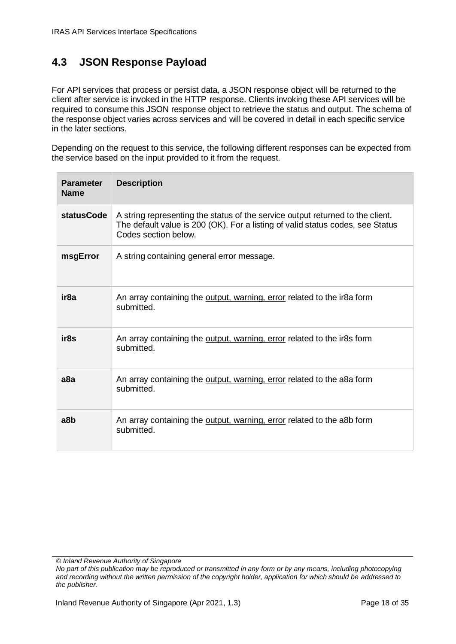#### <span id="page-17-0"></span>**4.3 JSON Response Payload**

For API services that process or persist data, a JSON response object will be returned to the client after service is invoked in the HTTP response. Clients invoking these API services will be required to consume this JSON response object to retrieve the status and output. The schema of the response object varies across services and will be covered in detail in each specific service in the later sections.

Depending on the request to this service, the following different responses can be expected from the service based on the input provided to it from the request.

| <b>Parameter</b><br><b>Name</b> | <b>Description</b>                                                                                                                                                                       |
|---------------------------------|------------------------------------------------------------------------------------------------------------------------------------------------------------------------------------------|
| <b>statusCode</b>               | A string representing the status of the service output returned to the client.<br>The default value is 200 (OK). For a listing of valid status codes, see Status<br>Codes section below. |
| msgError                        | A string containing general error message.                                                                                                                                               |
| ir8a                            | An array containing the output, warning, error related to the ir8a form<br>submitted.                                                                                                    |
| ir8s                            | An array containing the output, warning, error related to the ir8s form<br>submitted.                                                                                                    |
| a8a                             | An array containing the output, warning, error related to the a8a form<br>submitted.                                                                                                     |
| a8b                             | An array containing the output, warning, error related to the a8b form<br>submitted.                                                                                                     |

*<sup>©</sup> Inland Revenue Authority of Singapore* 

*No part of this publication may be reproduced or transmitted in any form or by any means, including photocopying and recording without the written permission of the copyright holder, application for which should be addressed to the publisher.*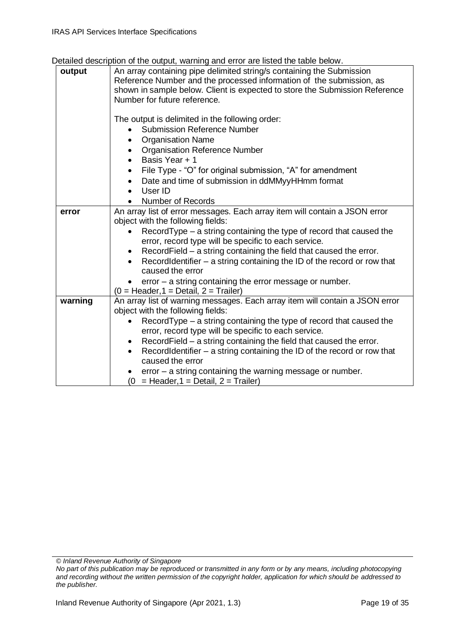| betailed description of the bulpat, warning and cribitale iisted the table below. |                                                                                                                                                                                                                                                                                                                                                                                                                                                                                                                                                                                  |  |  |
|-----------------------------------------------------------------------------------|----------------------------------------------------------------------------------------------------------------------------------------------------------------------------------------------------------------------------------------------------------------------------------------------------------------------------------------------------------------------------------------------------------------------------------------------------------------------------------------------------------------------------------------------------------------------------------|--|--|
| output                                                                            | An array containing pipe delimited string/s containing the Submission<br>Reference Number and the processed information of the submission, as<br>shown in sample below. Client is expected to store the Submission Reference<br>Number for future reference.                                                                                                                                                                                                                                                                                                                     |  |  |
|                                                                                   | The output is delimited in the following order:<br><b>Submission Reference Number</b><br><b>Organisation Name</b><br><b>Organisation Reference Number</b><br>Basis Year + 1<br>File Type - "O" for original submission, "A" for amendment<br>Date and time of submission in ddMMyyHHmm format<br>User ID<br><b>Number of Records</b>                                                                                                                                                                                                                                             |  |  |
| error                                                                             | An array list of error messages. Each array item will contain a JSON error<br>object with the following fields:<br>RecordType – a string containing the type of record that caused the<br>error, record type will be specific to each service.<br>RecordField – a string containing the field that caused the error.<br>$\bullet$<br>Record Identifier $-$ a string containing the ID of the record or row that<br>$\bullet$<br>caused the error<br>$error - a string containing the error message or number.$<br>$(0 = \text{Header}, 1 = \text{Details}, 2 = \text{Triangle})$ |  |  |
| warning                                                                           | An array list of warning messages. Each array item will contain a JSON error<br>object with the following fields:<br>RecordType - a string containing the type of record that caused the<br>error, record type will be specific to each service.<br>RecordField – a string containing the field that caused the error.<br>٠<br>Record Identifier $-$ a string containing the ID of the record or row that<br>$\bullet$<br>caused the error<br>$error - a string containing the warning message or number.$<br>= Header, $1 =$ Detail, $2 =$ Trailer)<br>(0                       |  |  |

*© Inland Revenue Authority of Singapore*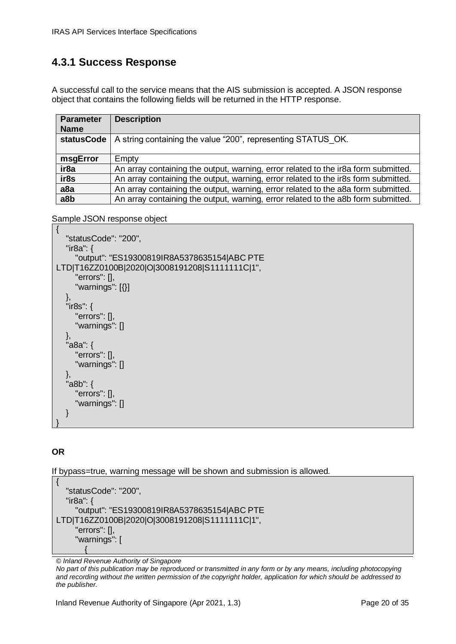### <span id="page-19-0"></span>**4.3.1 Success Response**

A successful call to the service means that the AIS submission is accepted. A JSON response object that contains the following fields will be returned in the HTTP response.

| <b>Parameter</b><br><b>Name</b> | <b>Description</b>                                                                 |
|---------------------------------|------------------------------------------------------------------------------------|
| <b>statusCode</b>               | A string containing the value "200", representing STATUS OK.                       |
| msgError                        | Empty                                                                              |
| ir <sub>8a</sub>                | An array containing the output, warning, error related to the ir8a form submitted. |
| ir8s                            | An array containing the output, warning, error related to the ir8s form submitted. |
| a <sub>8a</sub>                 | An array containing the output, warning, error related to the a8a form submitted.  |
| a8b                             | An array containing the output, warning, error related to the a8b form submitted.  |

Sample JSON response object

```
{
    "statusCode": "200",
    "ir8a": {
       "output": "ES19300819IR8A5378635154|ABC PTE 
LTD|T16ZZ0100B|2020|O|3008191208|S1111111C|1",
       "errors": [],
       "warnings": [{}]
    },
    "ir8s": {
       "errors": [],
       "warnings": []
    },
    "a8a": {
       "errors": [],
       "warnings": []
    },
    "a8b": {
       "errors": [],
       "warnings": []
   }
}
```
#### **OR**

If bypass=true, warning message will be shown and submission is allowed.

```
{
    "statusCode": "200",
    "ir8a": {
        "output": "ES19300819IR8A5378635154|ABC PTE 
LTD|T16ZZ0100B|2020|O|3008191208|S1111111C|1",
        "errors": [],
        "warnings": [
\left\{ \begin{array}{ccc} 1 & 1 \\ 1 & 1 \end{array} \right\}
```
*© Inland Revenue Authority of Singapore*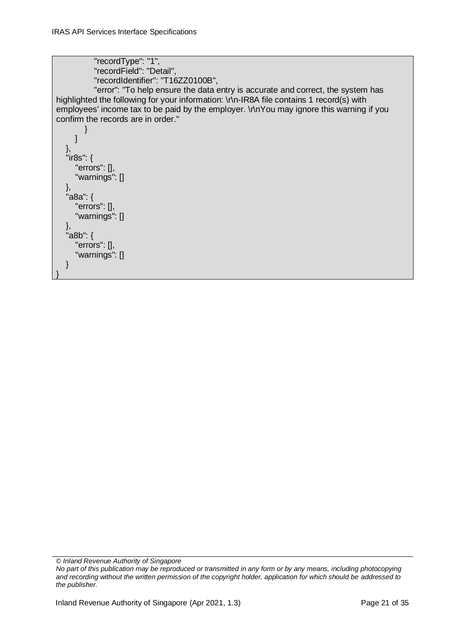```
 "recordType": "1",
            "recordField": "Detail",
            "recordIdentifier": "T16ZZ0100B",
            "error": "To help ensure the data entry is accurate and correct, the system has 
highlighted the following for your information: \r\n-IR8A file contains 1 record(s) with
employees' income tax to be paid by the employer. \r\nYou may ignore this warning if you 
confirm the records are in order."
         }
      ]
   },
    "ir8s": {
       "errors": [],
      "warnings": []
   },
   "a8a": {
       "errors": [],
      "warnings": []
   },
    "a8b": {
       "errors": [],
      "warnings": []
   }
}
```

```
© Inland Revenue Authority of Singapore
```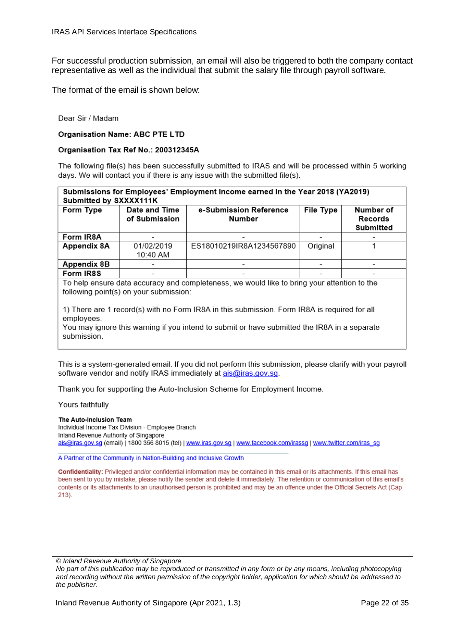For successful production submission, an email will also be triggered to both the company contact representative as well as the individual that submit the salary file through payroll software.

The format of the email is shown below:

Dear Sir / Madam

#### **Organisation Name: ABC PTE LTD**

#### Organisation Tax Ref No.: 200312345A

The following file(s) has been successfully submitted to IRAS and will be processed within 5 working days. We will contact you if there is any issue with the submitted file(s).

| Submissions for Employees' Employment Income earned in the Year 2018 (YA2019)<br>Submitted by SXXXX111K |                                        |                                                                                              |           |                                   |
|---------------------------------------------------------------------------------------------------------|----------------------------------------|----------------------------------------------------------------------------------------------|-----------|-----------------------------------|
| Form Type                                                                                               | Date and Time<br>of Submission         | e-Submission Reference<br><b>Number</b>                                                      | File Type | Number of<br>Records<br>Submitted |
| Form IR8A                                                                                               |                                        |                                                                                              |           |                                   |
| Appendix 8A                                                                                             | 01/02/2019                             | ES18010219IR8A1234567890                                                                     | Original  |                                   |
|                                                                                                         | 10:40 AM                               |                                                                                              |           |                                   |
| Appendix 8B                                                                                             |                                        |                                                                                              |           |                                   |
| Form IR8S                                                                                               |                                        |                                                                                              |           |                                   |
|                                                                                                         |                                        | To help ensure data accuracy and completeness, we would like to bring your attention to the  |           |                                   |
|                                                                                                         | following point(s) on your submission: |                                                                                              |           |                                   |
|                                                                                                         |                                        | 1) There are 1 record(s) with no Form IR8A in this submission. Form IR8A is required for all |           |                                   |

employees.

You may ignore this warning if you intend to submit or have submitted the IR8A in a separate submission.

This is a system-generated email. If you did not perform this submission, please clarify with your payroll software vendor and notify IRAS immediately at ais@iras.gov.sg.

Thank you for supporting the Auto-Inclusion Scheme for Employment Income.

Yours faithfully

The Auto-Inclusion Team Individual Income Tax Division - Employee Branch Inland Revenue Authority of Singapore ais@iras.gov.sg (email) | 1800 356 8015 (tel) | www.iras.gov.sg | www.facebook.com/irassg | www.twitter.com/iras\_sg

A Partner of the Community in Nation-Building and Inclusive Growth

Confidentiality: Privileged and/or confidential information may be contained in this email or its attachments. If this email has been sent to you by mistake, please notify the sender and delete it immediately. The retention or communication of this email's contents or its attachments to an unauthorised person is prohibited and may be an offence under the Official Secrets Act (Cap 213).

*© Inland Revenue Authority of Singapore*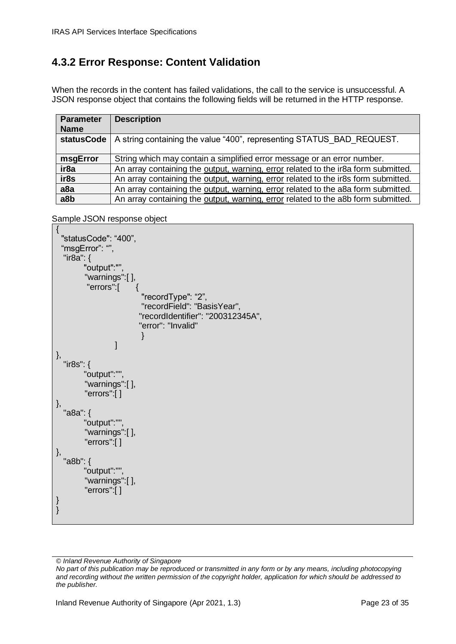### <span id="page-22-0"></span>**4.3.2 Error Response: Content Validation**

When the records in the content has failed validations, the call to the service is unsuccessful. A JSON response object that contains the following fields will be returned in the HTTP response.

| <b>Parameter</b><br><b>Name</b> | <b>Description</b>                                                                 |
|---------------------------------|------------------------------------------------------------------------------------|
| <b>statusCode</b>               | A string containing the value "400", representing STATUS BAD REQUEST.              |
| msgError                        | String which may contain a simplified error message or an error number.            |
| ir <sub>8a</sub>                | An array containing the output, warning, error related to the ir8a form submitted. |
| ir8s                            | An array containing the output, warning, error related to the ir8s form submitted. |
| a <sub>8a</sub>                 | An array containing the output, warning, error related to the a8a form submitted.  |
| a8b                             | An array containing the output, warning, error related to the a8b form submitted.  |

Sample JSON response object

```
{
  "statusCode": "400",
 "msgError": "",
   "ir8a": {
        "output":"",
         "warnings":[ ],
          "errors":[ {
                          "recordType": "2",
                          "recordField": "BasisYear",
                         "recordIdentifier": "200312345A",
                         "error": "Invalid"
 }
 ]
},
   "ir8s": {
        "output":"",
         "warnings":[ ],
         "errors":[ ]
},
   "a8a": {
        "output":"",
         "warnings":[ ],
         "errors":[ ]
},
   "a8b": {
        "output":"",
         "warnings":[ ],
         "errors":[ ]
}
}
```
*© Inland Revenue Authority of Singapore*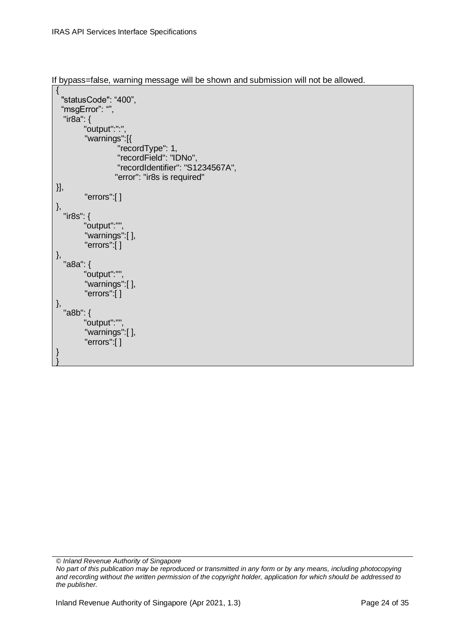If bypass=false, warning message will be shown and submission will not be allowed.

```
{
   "statusCode": "400",
 "msgError": "",
   "ir8a": {
         "output":":",
          "warnings":[{ 
                     "recordType": 1,
                     "recordField": "IDNo",
                     "recordIdentifier": "S1234567A",
                    "error": "ir8s is required"
}],
          "errors":[ ]
},
   "ir8s": {
         "output":"",
          "warnings":[ ],
          "errors":[ ]
},
 "a8a": {
         "output":"",
          "warnings":[ ],
          "errors":[ ]
},
 "a8b": {
         "output":"",
          "warnings":[ ],
          "errors":[ ]
}
}
```
*© Inland Revenue Authority of Singapore*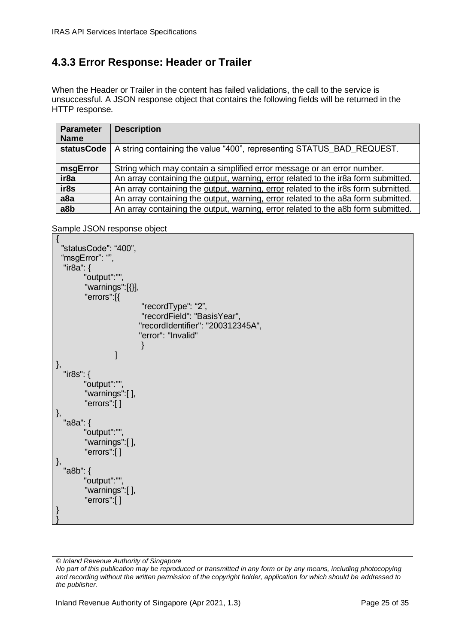# <span id="page-24-0"></span>**4.3.3 Error Response: Header or Trailer**

When the Header or Trailer in the content has failed validations, the call to the service is unsuccessful. A JSON response object that contains the following fields will be returned in the HTTP response.

| <b>Parameter</b><br><b>Name</b> | <b>Description</b>                                                                 |
|---------------------------------|------------------------------------------------------------------------------------|
| <b>statusCode</b>               | A string containing the value "400", representing STATUS BAD REQUEST.              |
| msgError                        | String which may contain a simplified error message or an error number.            |
| ir <sub>8a</sub>                | An array containing the output, warning, error related to the ir8a form submitted. |
| ir8s                            | An array containing the output, warning, error related to the ir8s form submitted. |
| a <sub>8a</sub>                 | An array containing the output, warning, error related to the a8a form submitted.  |
| a8b                             | An array containing the output, warning, error related to the a8b form submitted.  |

```
{
  "statusCode": "400",
 "msgError": "",
   "ir8a": {
        "output":"",
         "warnings":[{}],
         "errors":[{
                          "recordType": "2",
                          "recordField": "BasisYear",
                         "recordIdentifier": "200312345A",
                         "error": "Invalid"
 }
 ]
},
   "ir8s": {
        "output":"",
         "warnings":[ ],
         "errors":[ ]
},
   "a8a": {
        "output":"",
         "warnings":[ ],
         "errors":[ ]
},
   "a8b": {
        "output":"",
         "warnings":[ ],
         "errors":[ ]
}
}
```
*<sup>©</sup> Inland Revenue Authority of Singapore* 

*No part of this publication may be reproduced or transmitted in any form or by any means, including photocopying and recording without the written permission of the copyright holder, application for which should be addressed to the publisher.*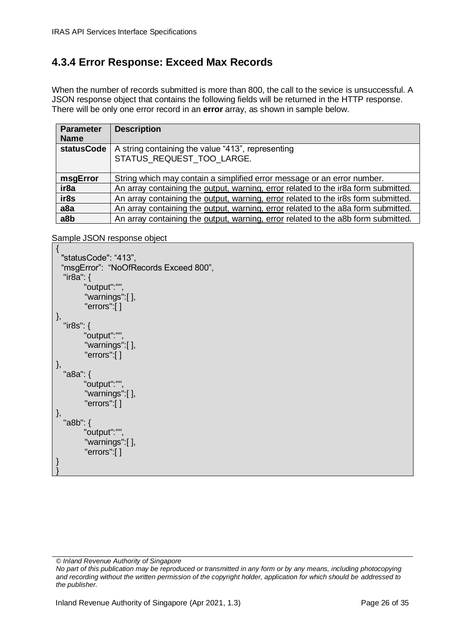### <span id="page-25-0"></span>**4.3.4 Error Response: Exceed Max Records**

When the number of records submitted is more than 800, the call to the sevice is unsuccessful. A JSON response object that contains the following fields will be returned in the HTTP response. There will be only one error record in an **error** array, as shown in sample below.

| <b>Parameter</b><br><b>Name</b> | <b>Description</b>                                                                 |
|---------------------------------|------------------------------------------------------------------------------------|
| <b>statusCode</b>               | A string containing the value "413", representing<br>STATUS REQUEST TOO LARGE.     |
| msgError                        | String which may contain a simplified error message or an error number.            |
| ir <sub>8a</sub>                | An array containing the output, warning, error related to the ir8a form submitted. |
| ir8s                            | An array containing the output, warning, error related to the ir8s form submitted. |
| a <sub>8a</sub>                 | An array containing the output, warning, error related to the a8a form submitted.  |
| a8b                             | An array containing the output, warning, error related to the a8b form submitted.  |

```
{
  "statusCode": "413",
 "msgError": "NoOfRecords Exceed 800",
   "ir8a": {
         "output":"",
          "warnings":[ ],
          "errors":[ ]
},
   "ir8s": {
         "output":"",
          "warnings":[ ],
          "errors":[ ]
},
   "a8a": {
         "output":"",
          "warnings":[ ],
          "errors":[ ]
},
   "a8b": {
         "output":"",
          "warnings":[ ],
          "errors":[ ]
}
}
```
*<sup>©</sup> Inland Revenue Authority of Singapore* 

*No part of this publication may be reproduced or transmitted in any form or by any means, including photocopying and recording without the written permission of the copyright holder, application for which should be addressed to the publisher.*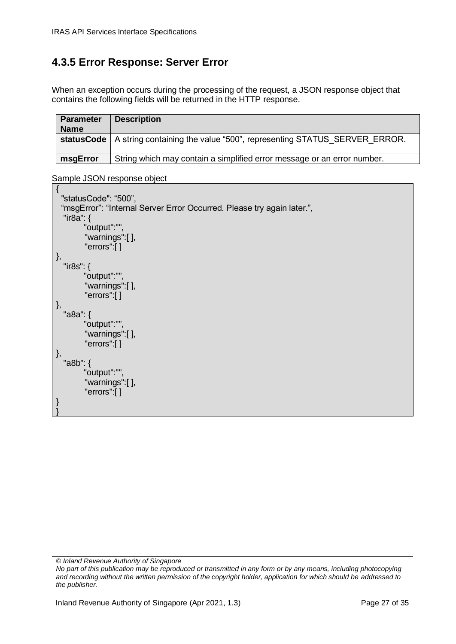### <span id="page-26-0"></span>**4.3.5 Error Response: Server Error**

When an exception occurs during the processing of the request, a JSON response object that contains the following fields will be returned in the HTTP response.

| <b>Parameter</b><br><b>Name</b> | <b>Description</b>                                                                         |
|---------------------------------|--------------------------------------------------------------------------------------------|
|                                 | <b>statusCode</b>   A string containing the value "500", representing STATUS SERVER ERROR. |
| msgError                        | String which may contain a simplified error message or an error number.                    |

```
{
  "statusCode": "500",
 "msgError": "Internal Server Error Occurred. Please try again later.",
   "ir8a": {
         "output":"",
          "warnings":[ ],
          "errors":[ ]
},
   "ir8s": {
         "output":"",
          "warnings":[ ],
          "errors":[ ]
},
   "a8a": {
         "output":"",
          "warnings":[ ],
          "errors":[ ]
},
   "a8b": {
         "output":"",
          "warnings":[ ],
          "errors":[ ]
}
}
```
*<sup>©</sup> Inland Revenue Authority of Singapore* 

*No part of this publication may be reproduced or transmitted in any form or by any means, including photocopying and recording without the written permission of the copyright holder, application for which should be addressed to the publisher.*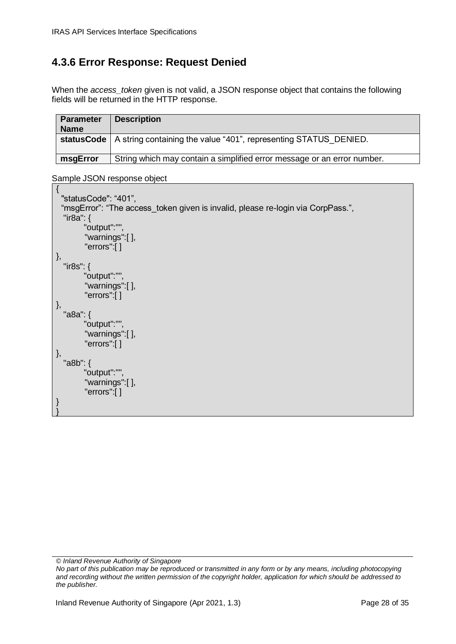### <span id="page-27-0"></span>**4.3.6 Error Response: Request Denied**

When the *access* token given is not valid, a JSON response object that contains the following fields will be returned in the HTTP response.

| <b>Parameter</b><br><b>Name</b> | <b>Description</b>                                                            |
|---------------------------------|-------------------------------------------------------------------------------|
|                                 | statusCode   A string containing the value "401", representing STATUS DENIED. |
| msgError                        | String which may contain a simplified error message or an error number.       |

```
{
  "statusCode": "401",
 "msgError": "The access token given is invalid, please re-login via CorpPass.",
   "ir8a": {
         "output":"",
          "warnings":[ ],
          "errors":[ ]
},
   "ir8s": {
         "output":"",
          "warnings":[ ],
          "errors":[ ]
},
   "a8a": {
         "output":"",
          "warnings":[ ],
          "errors":[ ]
},
   "a8b": {
         "output":"",
          "warnings":[ ],
          "errors":[ ]
}
}
```
*<sup>©</sup> Inland Revenue Authority of Singapore* 

*No part of this publication may be reproduced or transmitted in any form or by any means, including photocopying and recording without the written permission of the copyright holder, application for which should be addressed to the publisher.*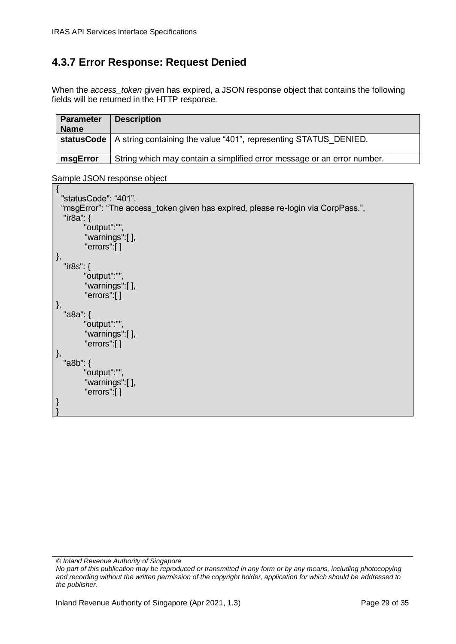### <span id="page-28-0"></span>**4.3.7 Error Response: Request Denied**

When the *access* token given has expired, a JSON response object that contains the following fields will be returned in the HTTP response.

| <b>Parameter</b><br><b>Name</b> | <b>Description</b>                                                                   |
|---------------------------------|--------------------------------------------------------------------------------------|
|                                 | <b>statusCode</b>   A string containing the value "401", representing STATUS DENIED. |
| msgError                        | String which may contain a simplified error message or an error number.              |

```
{
  "statusCode": "401",
 "msgError": "The access token given has expired, please re-login via CorpPass.",
   "ir8a": {
         "output":"",
          "warnings":[ ],
          "errors":[ ]
},
  "ir8s": {
         "output":"",
          "warnings":[ ],
          "errors":[ ]
},
  "a8a": {
         "output":"",
          "warnings":[ ],
          "errors":[ ]
},
   "a8b": {
         "output":"",
          "warnings":[ ],
          "errors":[ ]
}
}
```
*<sup>©</sup> Inland Revenue Authority of Singapore* 

*No part of this publication may be reproduced or transmitted in any form or by any means, including photocopying and recording without the written permission of the copyright holder, application for which should be addressed to the publisher.*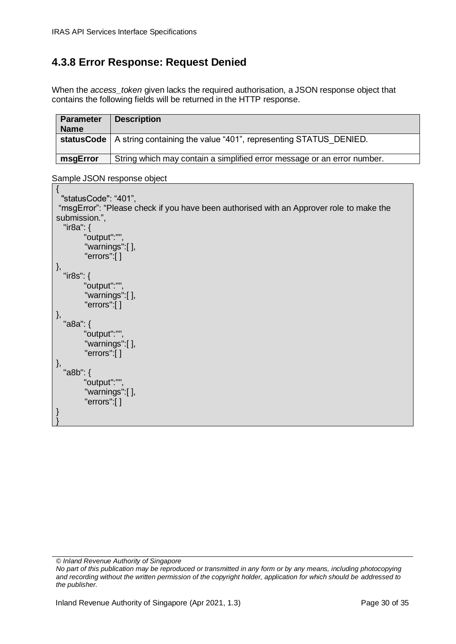### <span id="page-29-0"></span>**4.3.8 Error Response: Request Denied**

When the *access\_token* given lacks the required authorisation, a JSON response object that contains the following fields will be returned in the HTTP response.

| <b>Parameter</b><br><b>Name</b> | <b>Description</b>                                                            |
|---------------------------------|-------------------------------------------------------------------------------|
|                                 | statusCode   A string containing the value "401", representing STATUS DENIED. |
| msgError                        | String which may contain a simplified error message or an error number.       |

| "statusCode": "401",                                                                    |  |
|-----------------------------------------------------------------------------------------|--|
| "msgError": "Please check if you have been authorised with an Approver role to make the |  |
| submission.",                                                                           |  |
| "ir8a": $\{$                                                                            |  |
| "output":"",                                                                            |  |
| "warnings":[],                                                                          |  |
| "errors":[]                                                                             |  |
|                                                                                         |  |
| },<br>"ir8s": {                                                                         |  |
|                                                                                         |  |
| "output":"",                                                                            |  |
| "warnings":[],                                                                          |  |
| "errors":[]                                                                             |  |
| },                                                                                      |  |
| "a8a": {                                                                                |  |
| "output":"",                                                                            |  |
| "warnings":[],                                                                          |  |
| "errors":[]                                                                             |  |
| },                                                                                      |  |
| "a8b": {                                                                                |  |
| "output":"",                                                                            |  |
| "warnings":[],                                                                          |  |
| "errors": $[ ]$                                                                         |  |
| }                                                                                       |  |
|                                                                                         |  |

*<sup>©</sup> Inland Revenue Authority of Singapore* 

*No part of this publication may be reproduced or transmitted in any form or by any means, including photocopying and recording without the written permission of the copyright holder, application for which should be addressed to the publisher.*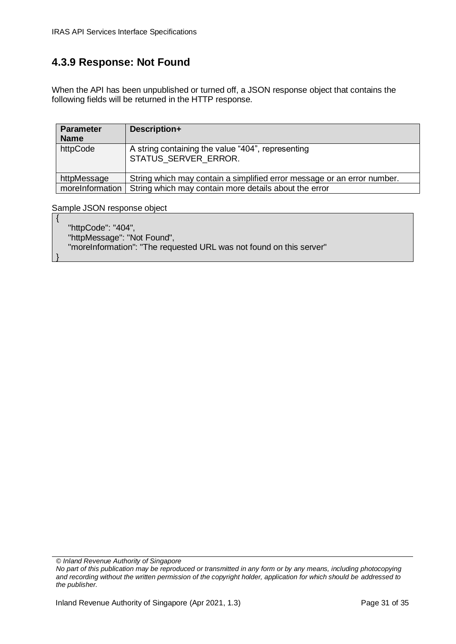### <span id="page-30-0"></span>**4.3.9 Response: Not Found**

When the API has been unpublished or turned off, a JSON response object that contains the following fields will be returned in the HTTP response.

| <b>Parameter</b><br><b>Name</b> | Description+                                                              |  |
|---------------------------------|---------------------------------------------------------------------------|--|
| httpCode                        | A string containing the value "404", representing<br>STATUS SERVER ERROR. |  |
| httpMessage                     | String which may contain a simplified error message or an error number.   |  |
| moreInformation                 | String which may contain more details about the error                     |  |

Sample JSON response object

{

}

 "httpCode": "404", "httpMessage": "Not Found", "moreInformation": "The requested URL was not found on this server"

*© Inland Revenue Authority of Singapore*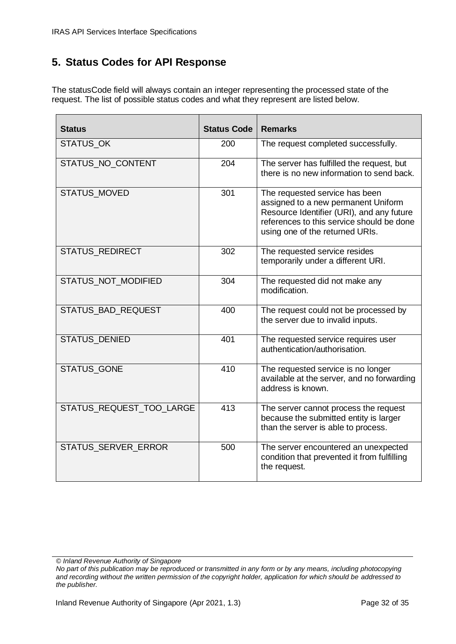### <span id="page-31-0"></span>**5. Status Codes for API Response**

The statusCode field will always contain an integer representing the processed state of the request. The list of possible status codes and what they represent are listed below.

| <b>Status</b>              | <b>Status Code</b> | <b>Remarks</b>                                                                                                                                                                                     |
|----------------------------|--------------------|----------------------------------------------------------------------------------------------------------------------------------------------------------------------------------------------------|
| <b>STATUS OK</b>           | 200                | The request completed successfully.                                                                                                                                                                |
| STATUS_NO_CONTENT          | 204                | The server has fulfilled the request, but<br>there is no new information to send back.                                                                                                             |
| <b>STATUS MOVED</b>        | 301                | The requested service has been<br>assigned to a new permanent Uniform<br>Resource Identifier (URI), and any future<br>references to this service should be done<br>using one of the returned URIs. |
| STATUS_REDIRECT            | 302                | The requested service resides<br>temporarily under a different URI.                                                                                                                                |
| STATUS NOT MODIFIED        | 304                | The requested did not make any<br>modification.                                                                                                                                                    |
| <b>STATUS BAD REQUEST</b>  | 400                | The request could not be processed by<br>the server due to invalid inputs.                                                                                                                         |
| <b>STATUS DENIED</b>       | 401                | The requested service requires user<br>authentication/authorisation.                                                                                                                               |
| <b>STATUS GONE</b>         | 410                | The requested service is no longer<br>available at the server, and no forwarding<br>address is known.                                                                                              |
| STATUS_REQUEST_TOO_LARGE   | 413                | The server cannot process the request<br>because the submitted entity is larger<br>than the server is able to process.                                                                             |
| <b>STATUS SERVER ERROR</b> | 500                | The server encountered an unexpected<br>condition that prevented it from fulfilling<br>the request.                                                                                                |

*<sup>©</sup> Inland Revenue Authority of Singapore* 

*No part of this publication may be reproduced or transmitted in any form or by any means, including photocopying and recording without the written permission of the copyright holder, application for which should be addressed to the publisher.*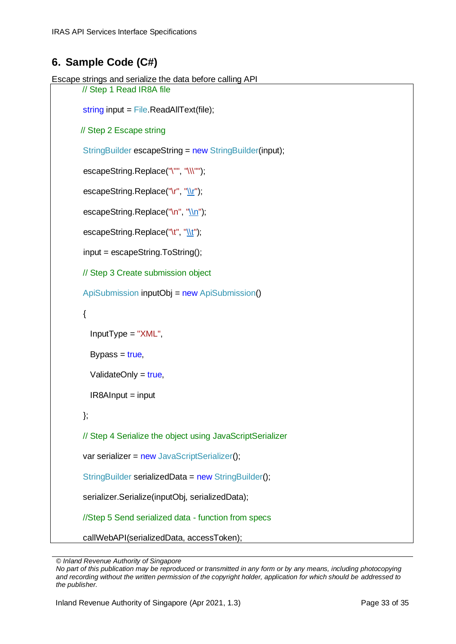#### <span id="page-32-0"></span>**6. Sample Code (C#)**

```
Escape strings and serialize the data before calling API
       // Step 1 Read IR8A file
       string input = File.ReadAllText(file);
        // Step 2 Escape string
        StringBuilder escapeString = new StringBuilder(input);
       escapeString.Replace("\"", "\\\"");
       "\\r");
       "\\n");
       "\\t");
        input = escapeString.ToString();
        // Step 3 Create submission object
        ApiSubmission inputObj = new ApiSubmission()
        {
          InputType = "XML",
         Bypass = true,
         ValidateOnly = true,
         IR8AInput = input
        };
        // Step 4 Serialize the object using JavaScriptSerializer
       var serializer = new JavaScriptSerializer();
        StringBuilder serializedData = new StringBuilder();
        serializer.Serialize(inputObj, serializedData);
        //Step 5 Send serialized data - function from specs
        callWebAPI(serializedData, accessToken);
```
*<sup>©</sup> Inland Revenue Authority of Singapore* 

*No part of this publication may be reproduced or transmitted in any form or by any means, including photocopying and recording without the written permission of the copyright holder, application for which should be addressed to the publisher.*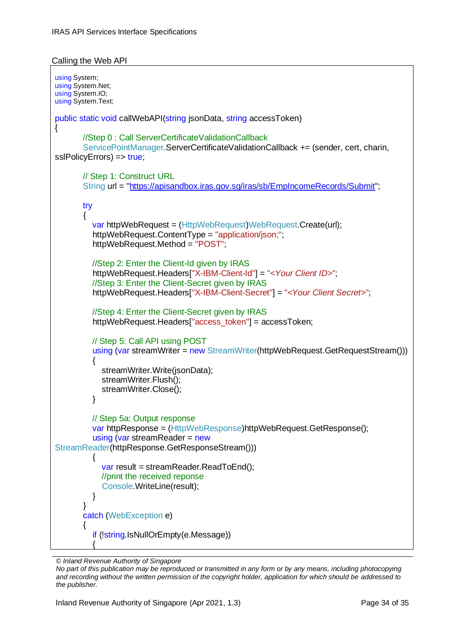```
Calling the Web API
```

```
using System;
using System.Net;
using System.IO;
using System.Text;
public static void callWebAPI(string jsonData, string accessToken)
{
        //Step 0 : Call ServerCertificateValidationCallback 
        ServicePointManager.ServerCertificateValidationCallback += (sender, cert, charin, 
sslPolicyErrors) => true;
        // Step 1: Construct URL 
        String url = "https://apisandbox.iras.gov.sg/iras/sb/EmpIncomeRecords/Submit";
        try
\{ var httpWebRequest = (HttpWebRequest)WebRequest.Create(url);
          httpWebRequest.ContentType = "application/json;";
          httpWebRequest.Method = "POST";
          //Step 2: Enter the Client-Id given by IRAS
          httpWebRequest.Headers["X-IBM-Client-Id"] = "<Your Client ID>";
          //Step 3: Enter the Client-Secret given by IRAS
          httpWebRequest.Headers["X-IBM-Client-Secret"] = "<Your Client Secret>";
          //Step 4: Enter the Client-Secret given by IRAS
         httpWebRequest.Headers["access_token"] = accessToken;
          // Step 5: Call API using POST
          using (var streamWriter = new StreamWriter(httpWebRequest.GetRequestStream()))
\{ streamWriter.Write(jsonData);
             streamWriter.Flush();
             streamWriter.Close();
 }
          // Step 5a: Output response
          var httpResponse = (HttpWebResponse)httpWebRequest.GetResponse();
          using (var streamReader = new
StreamReader(httpResponse.GetResponseStream()))
\{var result = streamReader.ReadToEnd();
            //print the received reponse
             Console.WriteLine(result);
 }
        }
        catch (WebException e)
\{ if (!string.IsNullOrEmpty(e.Message))
\{
```

```
© Inland Revenue Authority of Singapore
```
*No part of this publication may be reproduced or transmitted in any form or by any means, including photocopying and recording without the written permission of the copyright holder, application for which should be addressed to the publisher.*